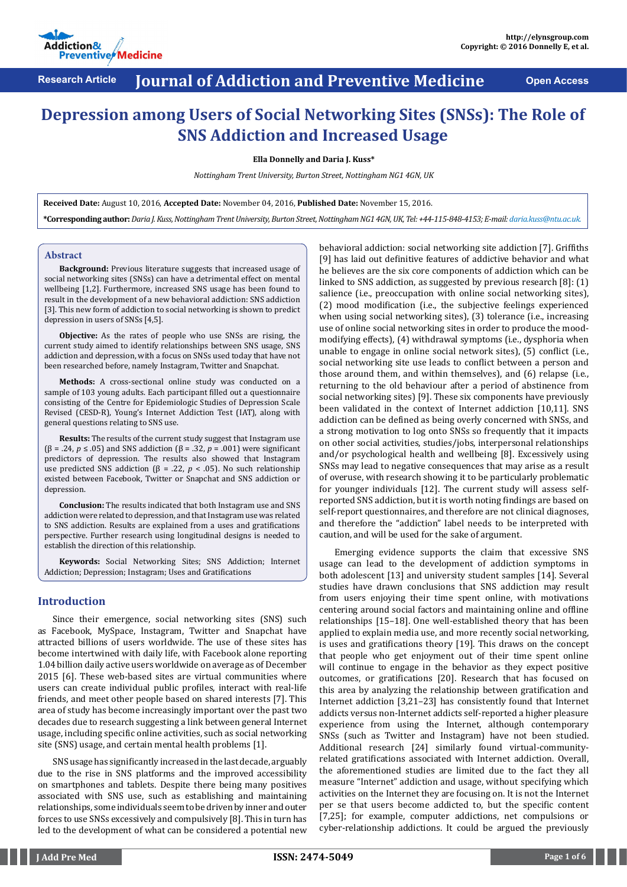

# **Research Article Journal of Addiction and Preventive Medicine Open Access**

# **Depression among Users of Social Networking Sites (SNSs): The Role of SNS Addiction and Increased Usage**

**Ella Donnelly and Daria J. Kuss\***

*Nottingham Trent University, Burton Street, Nottingham NG1 4GN, UK*

**Received Date:** August 10, 2016, **Accepted Date:** November 04, 2016, **Published Date:** November 15, 2016. **\*Corresponding author:** *Daria J. Kuss, Nottingham Trent University, Burton Street, Nottingham NG1 4GN, UK, Tel: +44-115-848-4153; E-mail: daria.kuss@ntu.ac.uk.* 

### **Abstract**

**Background:** Previous literature suggests that increased usage of social networking sites (SNSs) can have a detrimental effect on mental wellbeing [1,2]. Furthermore, increased SNS usage has been found to result in the development of a new behavioral addiction: SNS addiction [3]. This new form of addiction to social networking is shown to predict depression in users of SNSs [4,5].

**Objective:** As the rates of people who use SNSs are rising, the current study aimed to identify relationships between SNS usage, SNS addiction and depression, with a focus on SNSs used today that have not been researched before, namely Instagram, Twitter and Snapchat.

**Methods:** A cross-sectional online study was conducted on a sample of 103 young adults. Each participant filled out a questionnaire consisting of the Centre for Epidemiologic Studies of Depression Scale Revised (CESD-R), Young's Internet Addiction Test (IAT), along with general questions relating to SNS use.

**Results:** The results of the current study suggest that Instagram use (β = .24, *p* ≤ .05) and SNS addiction (β = .32, *p* = .001) were significant predictors of depression. The results also showed that Instagram use predicted SNS addiction (β = .22,  $p$  < .05). No such relationship existed between Facebook, Twitter or Snapchat and SNS addiction or depression.

**Conclusion:** The results indicated that both Instagram use and SNS addiction were related to depression, and that Instagram use was related to SNS addiction. Results are explained from a uses and gratifications perspective. Further research using longitudinal designs is needed to establish the direction of this relationship.

**Keywords:** Social Networking Sites; SNS Addiction; Internet Addiction; Depression; Instagram; Uses and Gratifications

# **Introduction**

Since their emergence, social networking sites (SNS) such as Facebook, MySpace, Instagram, Twitter and Snapchat have attracted billions of users worldwide. The use of these sites has become intertwined with daily life, with Facebook alone reporting 1.04 billion daily active users worldwide on average as of December 2015 [6]. These web-based sites are virtual communities where users can create individual public profiles, interact with real-life friends, and meet other people based on shared interests [7]. This area of study has become increasingly important over the past two decades due to research suggesting a link between general Internet usage, including specific online activities, such as social networking site (SNS) usage, and certain mental health problems [1].

SNS usage has significantly increased in the last decade, arguably due to the rise in SNS platforms and the improved accessibility on smartphones and tablets. Despite there being many positives associated with SNS use, such as establishing and maintaining relationships, some individuals seem to be driven by inner and outer forces to use SNSs excessively and compulsively [8]. This in turn has led to the development of what can be considered a potential new

behavioral addiction: social networking site addiction [7]. Griffiths [9] has laid out definitive features of addictive behavior and what he believes are the six core components of addiction which can be linked to SNS addiction, as suggested by previous research [8]: (1) salience (i.e., preoccupation with online social networking sites), (2) mood modification (i.e., the subjective feelings experienced when using social networking sites), (3) tolerance (i.e., increasing use of online social networking sites in order to produce the moodmodifying effects), (4) withdrawal symptoms (i.e., dysphoria when unable to engage in online social network sites), (5) conflict (i.e., social networking site use leads to conflict between a person and those around them, and within themselves), and (6) relapse (i.e., returning to the old behaviour after a period of abstinence from social networking sites) [9]. These six components have previously been validated in the context of Internet addiction [10,11]. SNS addiction can be defined as being overly concerned with SNSs, and a strong motivation to log onto SNSs so frequently that it impacts on other social activities, studies/jobs, interpersonal relationships and/or psychological health and wellbeing [8]. Excessively using SNSs may lead to negative consequences that may arise as a result of overuse, with research showing it to be particularly problematic for younger individuals [12]. The current study will assess selfreported SNS addiction, but it is worth noting findings are based on self-report questionnaires, and therefore are not clinical diagnoses, and therefore the "addiction" label needs to be interpreted with caution, and will be used for the sake of argument.

Emerging evidence supports the claim that excessive SNS usage can lead to the development of addiction symptoms in both adolescent [13] and university student samples [14]. Several studies have drawn conclusions that SNS addiction may result from users enjoying their time spent online, with motivations centering around social factors and maintaining online and offline relationships [15–18]. One well-established theory that has been applied to explain media use, and more recently social networking, is uses and gratifications theory [19]. This draws on the concept that people who get enjoyment out of their time spent online will continue to engage in the behavior as they expect positive outcomes, or gratifications [20]. Research that has focused on this area by analyzing the relationship between gratification and Internet addiction [3,21–23] has consistently found that Internet addicts versus non-Internet addicts self-reported a higher pleasure experience from using the Internet, although contemporary SNSs (such as Twitter and Instagram) have not been studied. Additional research [24] similarly found virtual-communityrelated gratifications associated with Internet addiction. Overall, the aforementioned studies are limited due to the fact they all measure "Internet" addiction and usage, without specifying which activities on the Internet they are focusing on. It is not the Internet per se that users become addicted to, but the specific content [7,25]; for example, computer addictions, net compulsions or cyber-relationship addictions. It could be argued the previously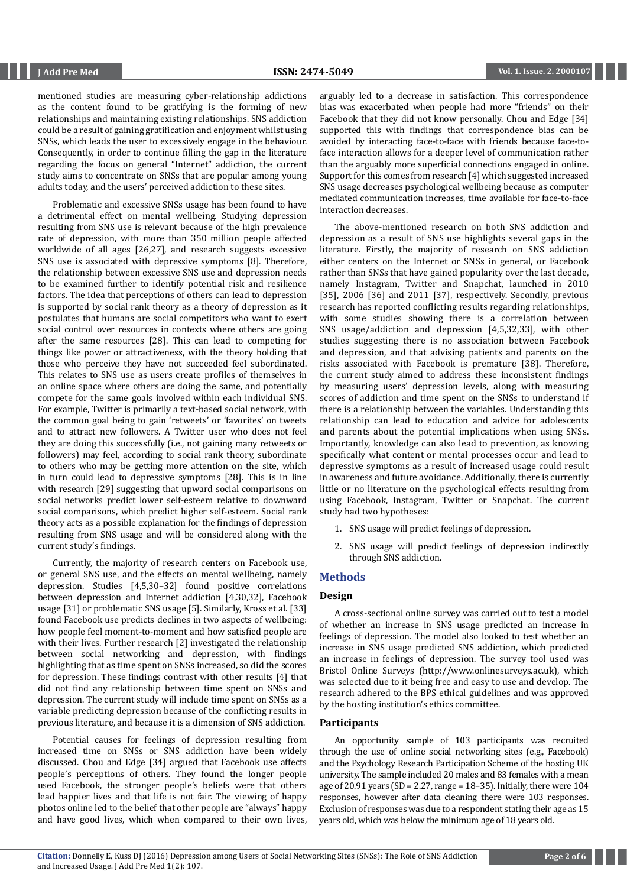mentioned studies are measuring cyber-relationship addictions as the content found to be gratifying is the forming of new relationships and maintaining existing relationships. SNS addiction could be a result of gaining gratification and enjoyment whilst using SNSs, which leads the user to excessively engage in the behaviour. Consequently, in order to continue filling the gap in the literature regarding the focus on general "Internet" addiction, the current study aims to concentrate on SNSs that are popular among young adults today, and the users' perceived addiction to these sites.

Problematic and excessive SNSs usage has been found to have a detrimental effect on mental wellbeing. Studying depression resulting from SNS use is relevant because of the high prevalence rate of depression, with more than 350 million people affected worldwide of all ages [26,27], and research suggests excessive SNS use is associated with depressive symptoms [8]. Therefore, the relationship between excessive SNS use and depression needs to be examined further to identify potential risk and resilience factors. The idea that perceptions of others can lead to depression is supported by social rank theory as a theory of depression as it postulates that humans are social competitors who want to exert social control over resources in contexts where others are going after the same resources [28]. This can lead to competing for things like power or attractiveness, with the theory holding that those who perceive they have not succeeded feel subordinated. This relates to SNS use as users create profiles of themselves in an online space where others are doing the same, and potentially compete for the same goals involved within each individual SNS. For example, Twitter is primarily a text-based social network, with the common goal being to gain 'retweets' or 'favorites' on tweets and to attract new followers. A Twitter user who does not feel they are doing this successfully (i.e., not gaining many retweets or followers) may feel, according to social rank theory, subordinate to others who may be getting more attention on the site, which in turn could lead to depressive symptoms [28]. This is in line with research [29] suggesting that upward social comparisons on social networks predict lower self-esteem relative to downward social comparisons, which predict higher self-esteem. Social rank theory acts as a possible explanation for the findings of depression resulting from SNS usage and will be considered along with the current study's findings.

Currently, the majority of research centers on Facebook use, or general SNS use, and the effects on mental wellbeing, namely depression. Studies [4,5,30–32] found positive correlations between depression and Internet addiction [4,30,32], Facebook usage [31] or problematic SNS usage [5]. Similarly, Kross et al. [33] found Facebook use predicts declines in two aspects of wellbeing: how people feel moment-to-moment and how satisfied people are with their lives. Further research [2] investigated the relationship between social networking and depression, with findings highlighting that as time spent on SNSs increased, so did the scores for depression. These findings contrast with other results [4] that did not find any relationship between time spent on SNSs and depression. The current study will include time spent on SNSs as a variable predicting depression because of the conflicting results in previous literature, and because it is a dimension of SNS addiction.

Potential causes for feelings of depression resulting from increased time on SNSs or SNS addiction have been widely discussed. Chou and Edge [34] argued that Facebook use affects people's perceptions of others. They found the longer people used Facebook, the stronger people's beliefs were that others lead happier lives and that life is not fair. The viewing of happy photos online led to the belief that other people are "always" happy and have good lives, which when compared to their own lives,

arguably led to a decrease in satisfaction. This correspondence bias was exacerbated when people had more "friends" on their Facebook that they did not know personally. Chou and Edge [34] supported this with findings that correspondence bias can be avoided by interacting face-to-face with friends because face-toface interaction allows for a deeper level of communication rather than the arguably more superficial connections engaged in online. Support for this comes from research [4] which suggested increased SNS usage decreases psychological wellbeing because as computer mediated communication increases, time available for face-to-face interaction decreases.

The above-mentioned research on both SNS addiction and depression as a result of SNS use highlights several gaps in the literature. Firstly, the majority of research on SNS addiction either centers on the Internet or SNSs in general, or Facebook rather than SNSs that have gained popularity over the last decade, namely Instagram, Twitter and Snapchat, launched in 2010 [35], 2006 [36] and 2011 [37], respectively. Secondly, previous research has reported conflicting results regarding relationships, with some studies showing there is a correlation between SNS usage/addiction and depression [4,5,32,33], with other studies suggesting there is no association between Facebook and depression, and that advising patients and parents on the risks associated with Facebook is premature [38]. Therefore, the current study aimed to address these inconsistent findings by measuring users' depression levels, along with measuring scores of addiction and time spent on the SNSs to understand if there is a relationship between the variables. Understanding this relationship can lead to education and advice for adolescents and parents about the potential implications when using SNSs. Importantly, knowledge can also lead to prevention, as knowing specifically what content or mental processes occur and lead to depressive symptoms as a result of increased usage could result in awareness and future avoidance. Additionally, there is currently little or no literature on the psychological effects resulting from using Facebook, Instagram, Twitter or Snapchat. The current study had two hypotheses:

- 1. SNS usage will predict feelings of depression.
- 2. SNS usage will predict feelings of depression indirectly through SNS addiction.

### **Methods**

### **Design**

A cross-sectional online survey was carried out to test a model of whether an increase in SNS usage predicted an increase in feelings of depression. The model also looked to test whether an increase in SNS usage predicted SNS addiction, which predicted an increase in feelings of depression. The survey tool used was Bristol Online Surveys (http://www.onlinesurveys.ac.uk), which was selected due to it being free and easy to use and develop. The research adhered to the BPS ethical guidelines and was approved by the hosting institution's ethics committee.

## **Participants**

An opportunity sample of 103 participants was recruited through the use of online social networking sites (e.g., Facebook) and the Psychology Research Participation Scheme of the hosting UK university. The sample included 20 males and 83 females with a mean age of 20.91 years (SD = 2.27, range =  $18-35$ ). Initially, there were  $104$ responses, however after data cleaning there were 103 responses. Exclusion of responses was due to a respondent stating their age as 15 years old, which was below the minimum age of 18 years old.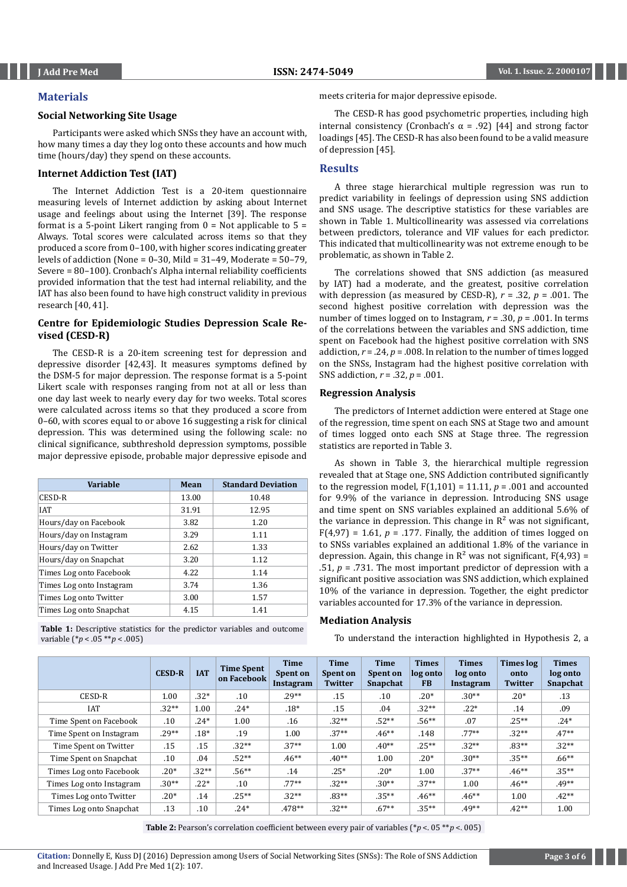# **Materials**

# **Social Networking Site Usage**

Participants were asked which SNSs they have an account with, how many times a day they log onto these accounts and how much time (hours/day) they spend on these accounts.

# **Internet Addiction Test (IAT)**

The Internet Addiction Test is a 20-item questionnaire measuring levels of Internet addiction by asking about Internet usage and feelings about using the Internet [39]. The response format is a 5-point Likert ranging from  $0 = Not$  applicable to  $5 =$ Always. Total scores were calculated across items so that they produced a score from 0–100, with higher scores indicating greater levels of addiction (None = 0–30, Mild = 31–49, Moderate = 50–79, Severe = 80–100). Cronbach's Alpha internal reliability coefficients provided information that the test had internal reliability, and the IAT has also been found to have high construct validity in previous research [40, 41].

# **Centre for Epidemiologic Studies Depression Scale Revised (CESD-R)**

The CESD-R is a 20-item screening test for depression and depressive disorder [42,43]. It measures symptoms defined by the DSM-5 for major depression. The response format is a 5-point Likert scale with responses ranging from not at all or less than one day last week to nearly every day for two weeks. Total scores were calculated across items so that they produced a score from 0–60, with scores equal to or above 16 suggesting a risk for clinical depression. This was determined using the following scale: no clinical significance, subthreshold depression symptoms, possible major depressive episode, probable major depressive episode and

| <b>Variable</b>          | Mean  | <b>Standard Deviation</b> |
|--------------------------|-------|---------------------------|
| CESD-R                   | 13.00 | 10.48                     |
| <b>IAT</b>               | 31.91 | 12.95                     |
| Hours/day on Facebook    | 3.82  | 1.20                      |
| Hours/day on Instagram   | 3.29  | 1.11                      |
| Hours/day on Twitter     | 2.62  | 1.33                      |
| Hours/day on Snapchat    | 3.20  | 1.12                      |
| Times Log onto Facebook  | 4.22  | 1.14                      |
| Times Log onto Instagram | 3.74  | 1.36                      |
| Times Log onto Twitter   | 3.00  | 1.57                      |
| Times Log onto Snapchat  | 4.15  | 1.41                      |

**Table 1:** Descriptive statistics for the predictor variables and outcome variable (\**p* < .05 \*\**p* < .005)

meets criteria for major depressive episode.

The CESD-R has good psychometric properties, including high internal consistency (Cronbach's α = .92) [44] and strong factor loadings [45]. The CESD-R has also been found to be a valid measure of depression [45].

# **Results**

A three stage hierarchical multiple regression was run to predict variability in feelings of depression using SNS addiction and SNS usage. The descriptive statistics for these variables are shown in Table 1. Multicollinearity was assessed via correlations between predictors, tolerance and VIF values for each predictor. This indicated that multicollinearity was not extreme enough to be problematic, as shown in Table 2.

The correlations showed that SNS addiction (as measured by IAT) had a moderate, and the greatest, positive correlation with depression (as measured by CESD-R),  $r = .32$ ,  $p = .001$ . The second highest positive correlation with depression was the number of times logged on to Instagram, *r* = .30, *p* = .001. In terms of the correlations between the variables and SNS addiction, time spent on Facebook had the highest positive correlation with SNS addiction,  $r = .24$ ,  $p = .008$ . In relation to the number of times logged on the SNSs, Instagram had the highest positive correlation with SNS addiction, *r* = .32, *p* = .001.

# **Regression Analysis**

The predictors of Internet addiction were entered at Stage one of the regression, time spent on each SNS at Stage two and amount of times logged onto each SNS at Stage three. The regression statistics are reported in Table 3.

As shown in Table 3, the hierarchical multiple regression revealed that at Stage one, SNS Addiction contributed significantly to the regression model,  $F(1,101) = 11.11$ ,  $p = .001$  and accounted for 9.9% of the variance in depression. Introducing SNS usage and time spent on SNS variables explained an additional 5.6% of the variance in depression. This change in  $R^2$  was not significant,  $F(4,97) = 1.61$ ,  $p = .177$ . Finally, the addition of times logged on to SNSs variables explained an additional 1.8% of the variance in depression. Again, this change in  $\mathbb{R}^2$  was not significant,  $F(4,93) =$ .51,  $p = .731$ . The most important predictor of depression with a significant positive association was SNS addiction, which explained 10% of the variance in depression. Together, the eight predictor variables accounted for 17.3% of the variance in depression.

# **Mediation Analysis**

To understand the interaction highlighted in Hypothesis 2, a

|                          | <b>CESD-R</b> | <b>IAT</b> | <b>Time Spent</b><br>on Facebook | <b>Time</b><br><b>Spent on</b><br><b>Instagram</b> | <b>Time</b><br>Spent on<br><b>Twitter</b> | <b>Time</b><br>Spent on<br><b>Snapchat</b> | <b>Times</b><br>log onto<br><b>FB</b> | <b>Times</b><br>log onto<br>Instagram | Times log<br>onto<br><b>Twitter</b> | <b>Times</b><br>log onto<br>Snapchat |
|--------------------------|---------------|------------|----------------------------------|----------------------------------------------------|-------------------------------------------|--------------------------------------------|---------------------------------------|---------------------------------------|-------------------------------------|--------------------------------------|
| CESD-R                   | 1.00          | $.32*$     | .10                              | $.29**$                                            | .15                                       | .10                                        | $.20*$                                | $.30**$                               | $.20*$                              | .13                                  |
| <b>IAT</b>               | $.32**$       | 1.00       | $.24*$                           | $.18*$                                             | .15                                       | .04                                        | $.32**$                               | $.22*$                                | .14                                 | .09                                  |
| Time Spent on Facebook   | .10           | $.24*$     | 1.00                             | .16                                                | $.32**$                                   | $.52**$                                    | $.56**$                               | .07                                   | $.25***$                            | $.24*$                               |
| Time Spent on Instagram  | $.29**$       | $.18*$     | .19                              | 1.00                                               | $.37**$                                   | $.46**$                                    | .148                                  | $.77**$                               | $.32**$                             | $.47**$                              |
| Time Spent on Twitter    | .15           | .15        | $.32**$                          | $.37**$                                            | 1.00                                      | $.40**$                                    | $.25**$                               | $.32**$                               | $.83**$                             | $.32**$                              |
| Time Spent on Snapchat   | .10           | .04        | $.52**$                          | $.46***$                                           | $.40**$                                   | 1.00                                       | $.20*$                                | $.30**$                               | $.35***$                            | $.66***$                             |
| Times Log onto Facebook  | $.20*$        | $.32**$    | $.56***$                         | .14                                                | $.25*$                                    | $.20*$                                     | 1.00                                  | $.37**$                               | $.46**$                             | $.35***$                             |
| Times Log onto Instagram | $.30**$       | $.22*$     | .10                              | $.77***$                                           | $.32**$                                   | $.30**$                                    | $.37**$                               | 1.00                                  | $.46***$                            | $.49**$                              |
| Times Log onto Twitter   | $.20*$        | .14        | $.25**$                          | $.32**$                                            | $.83**$                                   | $.35***$                                   | $.46**$                               | $.46**$                               | 1.00                                | $.42**$                              |
| Times Log onto Snapchat  | .13           | .10        | $.24*$                           | $.478**$                                           | $.32**$                                   | $.67**$                                    | $.35**$                               | $.49**$                               | $.42**$                             | 1.00                                 |

**Table 2:** Pearson's correlation coefficient between every pair of variables ( $*p < 05 **p < 005$ )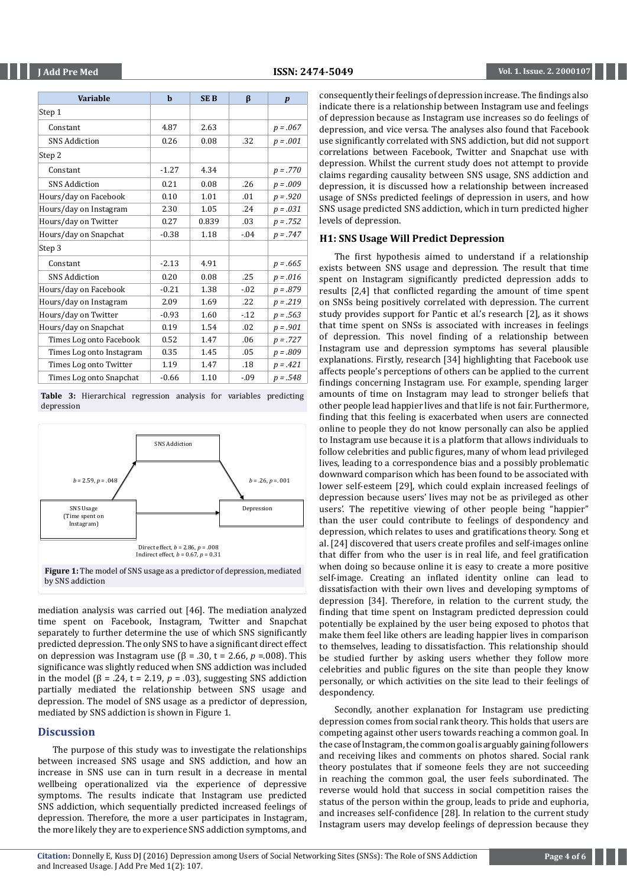| Variable                 | b       | <b>SEB</b> | ß       | $\boldsymbol{p}$ |
|--------------------------|---------|------------|---------|------------------|
| Step 1                   |         |            |         |                  |
| Constant                 | 4.87    | 2.63       |         | $p = .067$       |
| <b>SNS Addiction</b>     | 0.26    | 0.08       | .32     | $p = .001$       |
| Step 2                   |         |            |         |                  |
| Constant                 | $-1.27$ | 4.34       |         | $p = .770$       |
| <b>SNS Addiction</b>     | 0.21    | 0.08       | .26     | $p = .009$       |
| Hours/day on Facebook    | 0.10    | 1.01       | .01     | $p = .920$       |
| Hours/day on Instagram   | 2.30    | 1.05       | .24     | $p = .031$       |
| Hours/day on Twitter     | 0.27    | 0.839      | .03     | $p = .752$       |
| Hours/day on Snapchat    | $-0.38$ | 1.18       | $-.04$  | $p = .747$       |
| Step 3                   |         |            |         |                  |
| Constant                 | $-2.13$ | 4.91       |         | $p = .665$       |
| <b>SNS Addiction</b>     | 0.20    | 0.08       | .25     | $p = .016$       |
| Hours/day on Facebook    | $-0.21$ | 1.38       | $-0.02$ | $p = .879$       |
| Hours/day on Instagram   | 2.09    | 1.69       | .22     | $p = .219$       |
| Hours/day on Twitter     | $-0.93$ | 1.60       | $-12$   | $p = .563$       |
| Hours/day on Snapchat    | 0.19    | 1.54       | .02     | $p = .901$       |
| Times Log onto Facebook  | 0.52    | 1.47       | .06     | $p = .727$       |
| Times Log onto Instagram | 0.35    | 1.45       | .05     | $p = .809$       |
| Times Log onto Twitter   | 1.19    | 1.47       | .18     | $p = .421$       |
| Times Log onto Snapchat  | $-0.66$ | 1.10       | $-0.09$ | $p = .548$       |

**Table 3:** Hierarchical regression analysis for variables predicting depression



mediation analysis was carried out [46]. The mediation analyzed time spent on Facebook, Instagram, Twitter and Snapchat separately to further determine the use of which SNS significantly predicted depression. The only SNS to have a significant direct effect on depression was Instagram use (β = .30, t = 2.66, *p* =.008). This significance was slightly reduced when SNS addiction was included in the model (β = .24, t = 2.19,  $p = .03$ ), suggesting SNS addiction partially mediated the relationship between SNS usage and depression. The model of SNS usage as a predictor of depression, mediated by SNS addiction is shown in Figure 1.

# **Discussion**

The purpose of this study was to investigate the relationships between increased SNS usage and SNS addiction, and how an increase in SNS use can in turn result in a decrease in mental wellbeing operationalized via the experience of depressive symptoms. The results indicate that Instagram use predicted SNS addiction, which sequentially predicted increased feelings of depression. Therefore, the more a user participates in Instagram, the more likely they are to experience SNS addiction symptoms, and

consequently their feelings of depression increase. The findings also indicate there is a relationship between Instagram use and feelings of depression because as Instagram use increases so do feelings of depression, and vice versa. The analyses also found that Facebook use significantly correlated with SNS addiction, but did not support correlations between Facebook, Twitter and Snapchat use with depression. Whilst the current study does not attempt to provide claims regarding causality between SNS usage, SNS addiction and depression, it is discussed how a relationship between increased usage of SNSs predicted feelings of depression in users, and how SNS usage predicted SNS addiction, which in turn predicted higher levels of depression.

# **H1: SNS Usage Will Predict Depression**

The first hypothesis aimed to understand if a relationship exists between SNS usage and depression. The result that time spent on Instagram significantly predicted depression adds to results [2,4] that conflicted regarding the amount of time spent on SNSs being positively correlated with depression. The current study provides support for Pantic et al.'s research [2], as it shows that time spent on SNSs is associated with increases in feelings of depression. This novel finding of a relationship between Instagram use and depression symptoms has several plausible explanations. Firstly, research [34] highlighting that Facebook use affects people's perceptions of others can be applied to the current findings concerning Instagram use. For example, spending larger amounts of time on Instagram may lead to stronger beliefs that other people lead happier lives and that life is not fair. Furthermore, finding that this feeling is exacerbated when users are connected online to people they do not know personally can also be applied to Instagram use because it is a platform that allows individuals to follow celebrities and public figures, many of whom lead privileged lives, leading to a correspondence bias and a possibly problematic downward comparison which has been found to be associated with lower self-esteem [29], which could explain increased feelings of depression because users' lives may not be as privileged as other users'. The repetitive viewing of other people being "happier" than the user could contribute to feelings of despondency and depression, which relates to uses and gratifications theory. Song et al. [24] discovered that users create profiles and self-images online that differ from who the user is in real life, and feel gratification when doing so because online it is easy to create a more positive self-image. Creating an inflated identity online can lead to dissatisfaction with their own lives and developing symptoms of depression [34]. Therefore, in relation to the current study, the finding that time spent on Instagram predicted depression could potentially be explained by the user being exposed to photos that make them feel like others are leading happier lives in comparison to themselves, leading to dissatisfaction. This relationship should be studied further by asking users whether they follow more celebrities and public figures on the site than people they know personally, or which activities on the site lead to their feelings of despondency.

Secondly, another explanation for Instagram use predicting depression comes from social rank theory. This holds that users are competing against other users towards reaching a common goal. In the case of Instagram, the common goal is arguably gaining followers and receiving likes and comments on photos shared. Social rank theory postulates that if someone feels they are not succeeding in reaching the common goal, the user feels subordinated. The reverse would hold that success in social competition raises the status of the person within the group, leads to pride and euphoria, and increases self-confidence [28]. In relation to the current study Instagram users may develop feelings of depression because they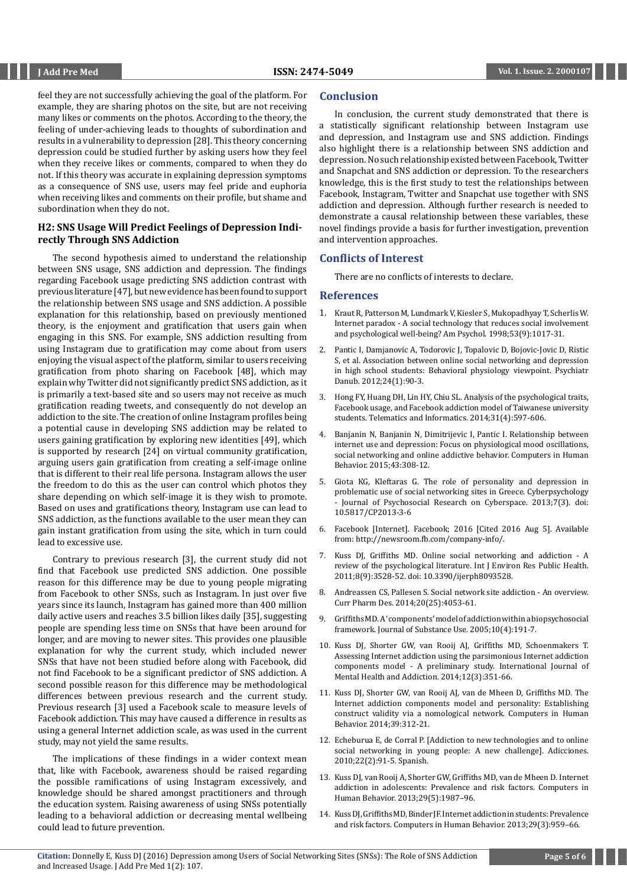feel they are not successfully achieving the goal of the platform. For example, they are sharing photos on the site, but are not receiving many likes or comments on the photos. According to the theory, the feeling of under-achieving leads to thoughts of subordination and results in a vulnerability to depression [28]. This theory concerning depression could be studied further by asking users how they feel when they receive likes or comments, compared to when they do not. If this theory was accurate in explaining depression symptoms as a consequence of SNS use, users may feel pride and euphoria when receiving likes and comments on their profile, but shame and subordination when they do not.

# **H2: SNS Usage Will Predict Feelings of Depression Indirectly Through SNS Addiction**

The second hypothesis aimed to understand the relationship between SNS usage, SNS addiction and depression. The findings regarding Facebook usage predicting SNS addiction contrast with previous literature [47], but new evidence has been found to support the relationship between SNS usage and SNS addiction. A possible explanation for this relationship, based on previously mentioned theory, is the enjoyment and gratification that users gain when engaging in this SNS. For example, SNS addiction resulting from using Instagram due to gratification may come about from users enjoying the visual aspect of the platform, similar to users receiving gratification from photo sharing on Facebook [48], which may explain why Twitter did not significantly predict SNS addiction, as it is primarily a text-based site and so users may not receive as much gratification reading tweets, and consequently do not develop an addiction to the site. The creation of online Instagram profiles being a potential cause in developing SNS addiction may be related to users gaining gratification by exploring new identities [49], which is supported by research [24] on virtual community gratification, arguing users gain gratification from creating a self-image online that is different to their real life persona. Instagram allows the user the freedom to do this as the user can control which photos they share depending on which self-image it is they wish to promote. Based on uses and gratifications theory, Instagram use can lead to SNS addiction, as the functions available to the user mean they can gain instant gratification from using the site, which in turn could lead to excessive use.

Contrary to previous research [3], the current study did not find that Facebook use predicted SNS addiction. One possible reason for this difference may be due to young people migrating from Facebook to other SNSs, such as Instagram. In just over five years since its launch, Instagram has gained more than 400 million daily active users and reaches 3.5 billion likes daily [35], suggesting people are spending less time on SNSs that have been around for longer, and are moving to newer sites. This provides one plausible explanation for why the current study, which included newer SNSs that have not been studied before along with Facebook, did not find Facebook to be a significant predictor of SNS addiction. A second possible reason for this difference may be methodological differences between previous research and the current study. Previous research [3] used a Facebook scale to measure levels of Facebook addiction. This may have caused a difference in results as using a general Internet addiction scale, as was used in the current study, may not yield the same results.

The implications of these findings in a wider context mean that, like with Facebook, awareness should be raised regarding the possible ramifications of using Instagram excessively, and knowledge should be shared amongst practitioners and through the education system. Raising awareness of using SNSs potentially leading to a behavioral addiction or decreasing mental wellbeing could lead to future prevention.

## **Conclusion**

In conclusion, the current study demonstrated that there is a statistically significant relationship between Instagram use and depression, and Instagram use and SNS addiction. Findings also highlight there is a relationship between SNS addiction and depression. No such relationship existed between Facebook, Twitter and Snapchat and SNS addiction or depression. To the researchers knowledge, this is the first study to test the relationships between Facebook, Instagram, Twitter and Snapchat use together with SNS addiction and depression. Although further research is needed to demonstrate a causal relationship between these variables, these novel findings provide a basis for further investigation, prevention and intervention approaches.

# **Conflicts of Interest**

There are no conflicts of interests to declare.

# **References**

- 1. [Kraut R, Patterson M, Lundmark V, Kiesler S, Mukopadhyay T, Scherlis W.](https://www.ncbi.nlm.nih.gov/pubmed/9841579) [Internet paradox - A social technology that reduces social involvement](https://www.ncbi.nlm.nih.gov/pubmed/9841579) [and psychological well-being? Am Psychol. 1998;53\(9\):1017-31.](https://www.ncbi.nlm.nih.gov/pubmed/9841579)
- 2. [Pantic I, Damjanovic A, Todorovic J, Topalovic D, Bojovic-Jovic D, Ristic](https://www.ncbi.nlm.nih.gov/pubmed/22447092) [S, et al. Association between online social networking and depression](https://www.ncbi.nlm.nih.gov/pubmed/22447092) [in high school students: Behavioral physiology viewpoint. Psychiatr](https://www.ncbi.nlm.nih.gov/pubmed/22447092) [Danub. 2012;24\(1\):90-3.](https://www.ncbi.nlm.nih.gov/pubmed/22447092)
- 3. [Hong FY, Huang DH, Lin HY, Chiu SL. Analysis of the psychological traits,](http://www.sciencedirect.com/science/article/pii/S0736585314000021) [Facebook usage, and Facebook addiction model of Taiwanese university](http://www.sciencedirect.com/science/article/pii/S0736585314000021) [students. Telematics and Informatics. 2014;31\(4\):597-606.](http://www.sciencedirect.com/science/article/pii/S0736585314000021)
- 4. [Banjanin N, Banjanin N, Dimitrijevic I, Pantic I. Relationship between](http://www.sciencedirect.com/science/article/pii/S0747563214005925) [internet use and depression: Focus on physiological mood oscillations,](http://www.sciencedirect.com/science/article/pii/S0747563214005925) [social networking and online addictive behavior. Computers in Human](http://www.sciencedirect.com/science/article/pii/S0747563214005925) [Behavior. 2015;43:308-12.](http://www.sciencedirect.com/science/article/pii/S0747563214005925)
- 5. [Giota KG, Kleftaras G. The role of personality and depression in](http://www.cyberpsychology.eu/view.php?cisloclanku=2014010801) [problematic use of social networking sites in Greece. Cyberpsychology](http://www.cyberpsychology.eu/view.php?cisloclanku=2014010801) [- Journal of Psychosocial Research on Cyberspace. 2013;7\(3\). doi:](http://www.cyberpsychology.eu/view.php?cisloclanku=2014010801) [10.5817/CP2013-3-6](http://www.cyberpsychology.eu/view.php?cisloclanku=2014010801)
- 6. Facebook [Internet]. Facebook; 2016 [Cited 2016 Aug 5]. Available from: <http://newsroom.fb.com/company-info/>.
- 7. [Kuss DJ, Griffiths MD. Online social networking and addiction A](https://www.ncbi.nlm.nih.gov/pubmed/22016701) [review of the psychological literature. Int J Environ Res Public Health.](https://www.ncbi.nlm.nih.gov/pubmed/22016701) [2011;8\(9\):3528-52. doi: 10.3390/ijerph8093528.](https://www.ncbi.nlm.nih.gov/pubmed/22016701)
- 8. [Andreassen CS, Pallesen S. Social network site addiction An overview.](https://www.ncbi.nlm.nih.gov/pubmed/24001298) [Curr Pharm Des. 2014;20\(25\):4053-61.](https://www.ncbi.nlm.nih.gov/pubmed/24001298)
- 9. [Griffiths MD. A 'components' model of addiction within a biopsychosocial](http://www.tandfonline.com/doi/abs/10.1080/14659890500114359?journalCode=ijsu20) [framework. Journal of Substance Use. 2005;10\(4\):191-7.](http://www.tandfonline.com/doi/abs/10.1080/14659890500114359?journalCode=ijsu20)
- 10. [Kuss DJ, Shorter GW, van Rooij AJ, Griffiths MD, Schoenmakers T.](http://rd.springer.com/article/10.1007/s11469-013-9459-9) [Assessing Internet addiction using the parsimonious Internet addiction](http://rd.springer.com/article/10.1007/s11469-013-9459-9) [components model - A preliminary study. International Journal of](http://rd.springer.com/article/10.1007/s11469-013-9459-9) [Mental Health and Addiction. 2014;12\(3\):351-66.](http://rd.springer.com/article/10.1007/s11469-013-9459-9)
- 11. [Kuss DJ, Shorter GW, van Rooij AJ, van de Mheen D, Griffiths MD. The](http://www.sciencedirect.com/science/article/pii/S0747563214004051) [Internet addiction components model and personality: Establishing](http://www.sciencedirect.com/science/article/pii/S0747563214004051) [construct validity via a nomological network. Computers in Human](http://www.sciencedirect.com/science/article/pii/S0747563214004051) [Behavior. 2014;39:312-21.](http://www.sciencedirect.com/science/article/pii/S0747563214004051)
- 12. [Echeburua E, de Corral P. \[Addiction to new technologies and to online](https://www.ncbi.nlm.nih.gov/pubmed/20549142) [social networking in young people: A new challenge\]. Adicciones.](https://www.ncbi.nlm.nih.gov/pubmed/20549142) [2010;22\(2\):91-5. Spanish.](https://www.ncbi.nlm.nih.gov/pubmed/20549142)
- 13. [Kuss DJ, van Rooij A, Shorter GW, Griffiths MD, van de Mheen D. Internet](http://www.sciencedirect.com/science/article/pii/S0747563213001052) [addiction in adolescents: Prevalence and risk factors. Computers in](http://www.sciencedirect.com/science/article/pii/S0747563213001052) [Human Behavior. 2013;29\(5\):1987–96.](http://www.sciencedirect.com/science/article/pii/S0747563213001052)
- 14. [Kuss DJ, Griffiths MD, Binder JF. Internet addiction in students: Prevalence](http://www.sciencedirect.com/science/article/pii/S0747563212003664) [and risk factors. Computers in Human Behavior. 2013;29\(3\):959–66.](http://www.sciencedirect.com/science/article/pii/S0747563212003664)